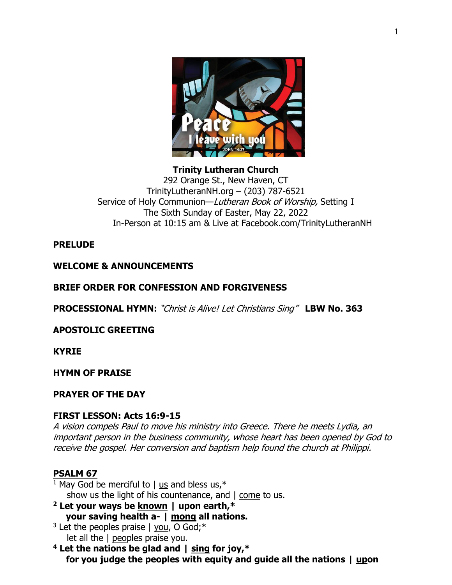

**Trinity Lutheran Church** 292 Orange St., New Haven, CT TrinityLutheranNH.org – (203) 787-6521 Service of Holy Communion—Lutheran Book of Worship, Setting I The Sixth Sunday of Easter, May 22, 2022 In-Person at 10:15 am & Live at Facebook.com/TrinityLutheranNH

# **PRELUDE**

# **WELCOME & ANNOUNCEMENTS**

# **BRIEF ORDER FOR CONFESSION AND FORGIVENESS**

**PROCESSIONAL HYMN:** "Christ is Alive! Let Christians Sing" **LBW No. 363**

# **APOSTOLIC GREETING**

**KYRIE**

#### **HYMN OF PRAISE**

#### **PRAYER OF THE DAY**

### **FIRST LESSON: Acts 16:9-15**

A vision compels Paul to move his ministry into Greece. There he meets Lydia, an important person in the business community, whose heart has been opened by God to receive the gospel. Her conversion and baptism help found the church at Philippi.

# **PSALM 67**

- <sup>1</sup> May God be merciful to  $\vert$  us and bless us,  $*$ show us the light of his countenance, and | come to us.
- **<sup>2</sup> Let your ways be known | upon earth,\* your saving health a- | mong all nations.**
- <sup>3</sup> Let the peoples praise  $\vert$  you, O God;<sup>\*</sup> let all the | peoples praise you.
- **<sup>4</sup> Let the nations be glad and | sing for joy,\* for you judge the peoples with equity and guide all the nations | upon**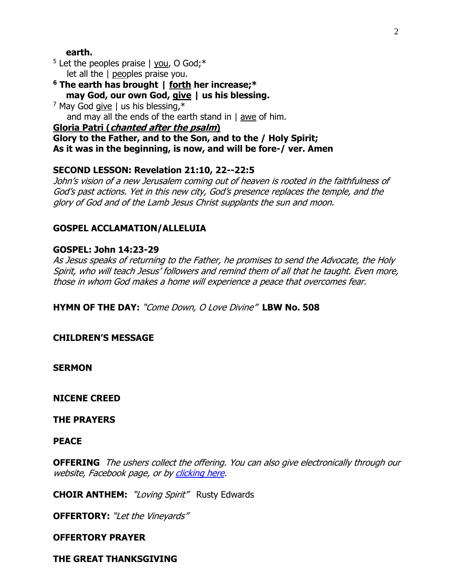### **earth.**

 $5$  Let the peoples praise | you, O God;  $*$ let all the | peoples praise you.

**<sup>6</sup> The earth has brought | forth her increase;\* may God, our own God, give | us his blessing.**

 $7$  May God give | us his blessing, $*$ and may all the ends of the earth stand in | awe of him.

### **Gloria Patri (chanted after the psalm)**

**Glory to the Father, and to the Son, and to the / Holy Spirit; As it was in the beginning, is now, and will be fore-/ ver. Amen**

# **SECOND LESSON: Revelation 21:10, 22--22:5**

John's vision of a new Jerusalem coming out of heaven is rooted in the faithfulness of God's past actions. Yet in this new city, God's presence replaces the temple, and the glory of God and of the Lamb Jesus Christ supplants the sun and moon.

# **GOSPEL ACCLAMATION/ALLELUIA**

# **GOSPEL: John 14:23-29**

As Jesus speaks of returning to the Father, he promises to send the Advocate, the Holy Spirit, who will teach Jesus' followers and remind them of all that he taught. Even more, those in whom God makes a home will experience a peace that overcomes fear.

**HYMN OF THE DAY:** "Come Down, O Love Divine" **LBW No. 508**

**CHILDREN'S MESSAGE**

**SERMON** 

**NICENE CREED**

**THE PRAYERS**

**PEACE**

**OFFERING** The ushers collect the offering. You can also give electronically through our website, Facebook page, or by [clicking here.](https://www.eservicepayments.com/cgi-bin/Vanco_ver3.vps?appver3=wWsk24ZWJSTZKsGd1RMKlg0BDvsSG3VIWQCPJNNxD8upkiY7JlDavDsozUE7KG0nFx2NSo8LdUKGuGuF396vbTL3zI8d9ONQj96N4loOj5giYnTg5dP4O6rpX5QvPEWlBhHDN59kLZFffwKfYERpQoyDu0FSEa2T5JeuDbytksQ=&ver=3)

**CHOIR ANTHEM:** "Loving Spirit" Rusty Edwards

**OFFERTORY:** "Let the Vineyards"

### **OFFERTORY PRAYER**

**THE GREAT THANKSGIVING**